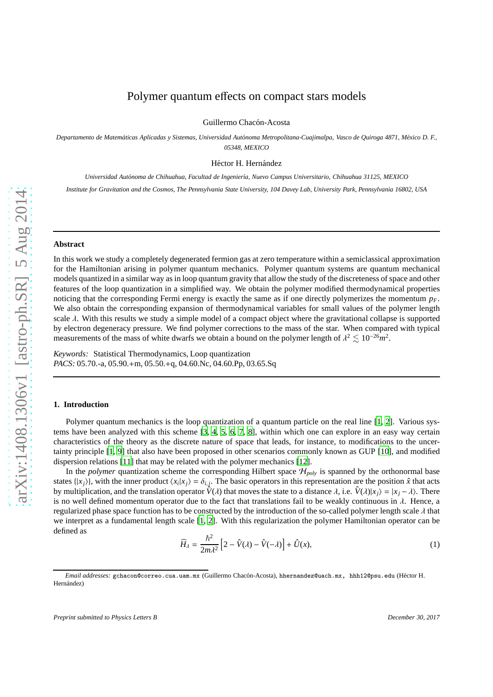# Polymer quantum effects on compact stars models

Guillermo Chacón-Acosta

*Departamento de Matem´aticas Aplicadas y Sistemas, Universidad Aut´onoma Metropolitana-Cuajimalpa, Vasco de Quiroga 4871, M´exico D. F., 05348, MEXICO*

Héctor H. Hernández

*Universidad Aut´onoma de Chihuahua, Facultad de Ingenier´ıa, Nuevo Campus Universitario, Chihuahua 31125, MEXICO Institute for Gravitation and the Cosmos, The Pennsylvania State University, 104 Davey Lab, University Park, Pennsylvania 16802, USA*

#### **Abstract**

In this work we study a completely degenerated fermion gas at zero temperature within a semiclassical approximation for the Hamiltonian arising in polymer quantum mechanics. Polymer quantum systems are quantum mechanical models quantized in a similar way as in loop quantum gravity that allow the study of the discreteness of space and other features of the loop quantization in a simplified way. We obtain the polymer modified thermodynamical properties noticing that the corresponding Fermi energy is exactly the same as if one directly polymerizes the momentum  $p_F$ . We also obtain the corresponding expansion of thermodynamical variables for small values of the polymer length scale  $\lambda$ . With this results we study a simple model of a compact object where the gravitational collapse is supported by electron degeneracy pressure. We find polymer corrections to the mass of the star. When compared with typical measurements of the mass of white dwarfs we obtain a bound on the polymer length of  $\lambda^2 \lesssim 10^{-26} m^2$ .

*Keywords:* Statistical Thermodynamics, Loop quantization *PACS:* 05.70.-a, 05.90.+m, 05.50.+q, 04.60.Nc, 04.60.Pp, 03.65.Sq

## **1. Introduction**

Polymer quantum mechanics is the loop quantization of a quantum particle on the real line [\[1,](#page-6-0) [2\]](#page-6-1). Various systems have been analyzed with this scheme [\[3](#page-6-2), [4](#page-6-3), [5,](#page-6-4) [6,](#page-6-5) [7,](#page-6-6) [8\]](#page-6-7), within which one can explore in an easy way certain characteristics of the theory as the discrete nature of space that leads, for instance, to modifications to the uncertainty principle [\[1,](#page-6-0) [9](#page-6-8)] that also have been proposed in other scenarios commonly known as GUP [\[10](#page-6-9)], and modified dispersion relations [\[11](#page-6-10)] that may be related with the polymer mechanics [\[12\]](#page-6-11).

In the *polymer* quantization scheme the corresponding Hilbert space  $\mathcal{H}_{poly}$  is spanned by the orthonormal base states  $\{|x_j\rangle\}$ , with the inner product  $\langle x_i|x_j\rangle = \delta_{i,j}$ . The basic operators in this representation are the position  $\hat{x}$  that acts by multiplication, and the translation operator  $\hat{V}(\lambda)$  that moves the state to a distance  $\lambda$ , i.e.  $\hat{V}(\lambda)|x_i\rangle = |x_i - \lambda\rangle$ . There is no well defined momentum operator due to the fact that translations fail to be weakly continuous in  $\lambda$ . Hence, a regularized phase space function has to be constructed by the introduction of the so-called polymer length scale  $\lambda$  that we interpret as a fundamental length scale [\[1](#page-6-0), [2](#page-6-1)]. With this regularization the polymer Hamiltonian operator can be defined as

<span id="page-0-0"></span>
$$
\widehat{H}_{\lambda} = \frac{\hbar^2}{2m\lambda^2} \left[ 2 - \widehat{V}(\lambda) - \widehat{V}(-\lambda) \right] + \widehat{U}(x),\tag{1}
$$

*Email addresses:* gchacon@correo.cua.uam.mx (Guillermo Chac´on-Acosta), hhernandez@uach.mx, hhh12@psu.edu (H´ector H. Hernández)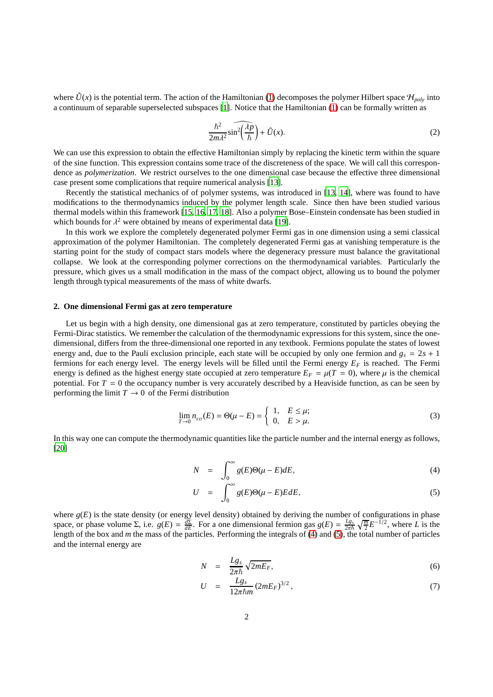where  $\hat{U}(x)$  is the potential term. The action of the Hamiltonian [\(1\)](#page-0-0) decomposes the polymer Hilbert space  $\mathcal{H}_{poly}$  into a continuum of separable superselected subspaces [\[1](#page-6-0)]. Notice that the Hamiltonian [\(1\)](#page-0-0) can be formally written as

$$
\frac{\hbar^2}{2m\lambda^2}\widehat{\sin^2\left(\frac{\lambda p}{\hbar}\right)} + \hat{U}(x). \tag{2}
$$

We can use this expression to obtain the effective Hamiltonian simply by replacing the kinetic term within the square of the sine function. This expression contains some trace of the discreteness of the space. We will call this correspondence as *polymerization*. We restrict ourselves to the one dimensional case because the effective three dimensional case present some complications that require numerical analysis [\[13\]](#page-6-12).

Recently the statistical mechanics of of polymer systems, was introduced in [\[13,](#page-6-12) [14\]](#page-6-13), where was found to have modifications to the thermodynamics induced by the polymer length scale. Since then have been studied various thermal models within this framework [\[15,](#page-6-14) [16,](#page-6-15) [17,](#page-6-16) [18](#page-6-17)]. Also a polymer Bose–Einstein condensate has been studied in which bounds for  $\lambda^2$  were obtained by means of experimental data [\[19](#page-6-18)].

In this work we explore the completely degenerated polymer Fermi gas in one dimension using a semi classical approximation of the polymer Hamiltonian. The completely degenerated Fermi gas at vanishing temperature is the starting point for the study of compact stars models where the degeneracy pressure must balance the gravitational collapse. We look at the corresponding polymer corrections on the thermodynamical variables. Particularly the pressure, which gives us a small modification in the mass of the compact object, allowing us to bound the polymer length through typical measurements of the mass of white dwarfs.

## <span id="page-1-3"></span>**2. One dimensional Fermi gas at zero temperature**

Let us begin with a high density, one dimensional gas at zero temperature, constituted by particles obeying the Fermi-Dirac statistics. We remember the calculation of the thermodynamic expressions for this system, since the onedimensional, differs from the three-dimensional one reported in any textbook. Fermions populate the states of lowest energy and, due to the Pauli exclusion principle, each state will be occupied by only one fermion and  $g_s = 2s + 1$ fermions for each energy level. The energy levels will be filled until the Fermi energy *E<sup>F</sup>* is reached. The Fermi energy is defined as the highest energy state occupied at zero temperature  $E_F = \mu(T = 0)$ , where  $\mu$  is the chemical potential. For  $T = 0$  the occupancy number is very accurately described by a Heaviside function, as can be seen by performing the limit  $T \to 0$  of the Fermi distribution

<span id="page-1-2"></span>
$$
\lim_{T \to 0} n_{FD}(E) = \Theta(\mu - E) = \begin{cases} 1, & E \le \mu; \\ 0, & E > \mu. \end{cases} \tag{3}
$$

In this way one can compute the thermodynamic quantities like the particle number and the internal energy as follows, [\[20\]](#page-6-19)

<span id="page-1-0"></span>
$$
N = \int_0^\infty g(E)\Theta(\mu - E)dE,
$$
\n(4)

$$
U = \int_0^\infty g(E)\Theta(\mu - E)E dE,
$$
\n(5)

where  $g(E)$  is the state density (or energy level density) obtained by deriving the number of configurations in phase space, or phase volume  $\Sigma$ , i.e.  $g(E) = \frac{d\Sigma}{dE}$ . For a one dimensional fermion gas  $g(E) = \frac{Lg_s}{2\pi\hbar} \sqrt{\frac{m}{2}} E^{-1/2}$ , where *L* is the length of the box and *m* the mass of the particles. Performing the integrals of [\(4\)](#page-1-0) and [\(5\)](#page-1-0), the total number of particles and the internal energy are

<span id="page-1-1"></span>
$$
N = \frac{Lg_s}{2\pi\hbar} \sqrt{2mE_F},\tag{6}
$$

$$
U = \frac{Lg_s}{12\pi\hbar m} (2mE_F)^{3/2}, \qquad (7)
$$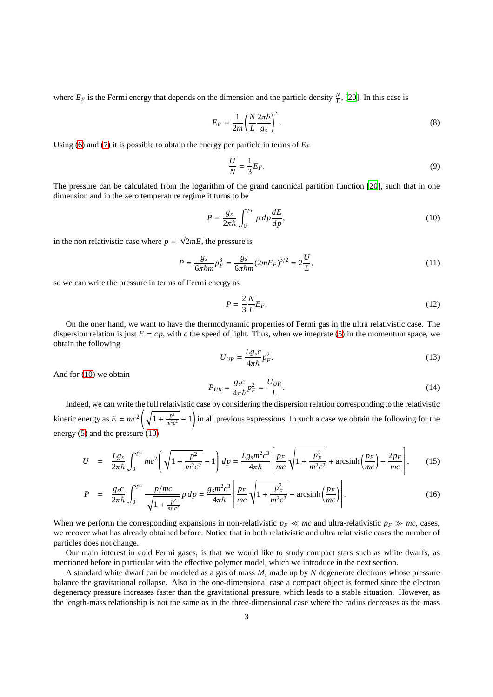where  $E_F$  is the Fermi energy that depends on the dimension and the particle density  $\frac{N}{L}$ , [\[20](#page-6-19)]. In this case is

<span id="page-2-2"></span>
$$
E_F = \frac{1}{2m} \left( \frac{N}{L} \frac{2\pi\hbar}{g_s} \right)^2.
$$
 (8)

Using [\(6\)](#page-1-1) and [\(7\)](#page-1-1) it is possible to obtain the energy per particle in terms of  $E_F$ 

$$
\frac{U}{N} = \frac{1}{3}E_F.
$$
\n<sup>(9)</sup>

The pressure can be calculated from the logarithm of the grand canonical partition function [\[20\]](#page-6-19), such that in one dimension and in the zero temperature regime it turns to be

<span id="page-2-0"></span>
$$
P = \frac{g_s}{2\pi\hbar} \int_0^{p_F} p \, dp \frac{dE}{dp},\tag{10}
$$

in the non relativistic case where  $p = \sqrt{2mE}$ , the pressure is

<span id="page-2-1"></span>
$$
P = \frac{g_s}{6\pi\hbar m} p_F^3 = \frac{g_s}{6\pi\hbar m} (2mE_F)^{3/2} = 2\frac{U}{L},\tag{11}
$$

so we can write the pressure in terms of Fermi energy as

$$
P = \frac{2}{3} \frac{N}{L} E_F. \tag{12}
$$

On the oner hand, we want to have the thermodynamic properties of Fermi gas in the ultra relativistic case. The dispersion relation is just  $E = cp$ , with *c* the speed of light. Thus, when we integrate [\(5\)](#page-1-0) in the momentum space, we obtain the following

$$
U_{UR} = \frac{Lg_s c}{4\pi\hbar} p_F^2. \tag{13}
$$

And for [\(10\)](#page-2-0) we obtain

<span id="page-2-3"></span>
$$
P_{UR} = \frac{g_s c}{4\pi\hbar} p_F^2 = \frac{U_{UR}}{L}.
$$
\n(14)

Indeed, we can write the full relativistic case by considering the dispersion relation corresponding to the relativistic kinetic energy as  $E = mc^2 \left( \sqrt{1 + \frac{p^2}{m^2}} \right)$  $\frac{p^2}{m^2c^2} - 1$ ! in all previous expressions. In such a case we obtain the following for the energy [\(5\)](#page-1-0) and the pressure [\(10\)](#page-2-0)

$$
U = \frac{Lg_s}{2\pi\hbar} \int_0^{p_F} mc^2 \left( \sqrt{1 + \frac{p^2}{m^2 c^2}} - 1 \right) dp = \frac{Lg_s m^2 c^3}{4\pi\hbar} \left[ \frac{p_F}{mc} \sqrt{1 + \frac{p_F^2}{m^2 c^2}} + \arcsin\left(\frac{p_F}{mc}\right) - \frac{2p_F}{mc} \right],
$$
 (15)

$$
P = \frac{g_s c}{2\pi\hbar} \int_0^{p_F} \frac{p/mc}{\sqrt{1 + \frac{p^2}{m^2 c^2}}} p \, dp = \frac{g_s m^2 c^3}{4\pi\hbar} \left[ \frac{p_F}{mc} \sqrt{1 + \frac{p_F^2}{m^2 c^2}} - \arcsin\left(\frac{p_F}{mc}\right) \right]. \tag{16}
$$

When we perform the corresponding expansions in non-relativistic  $p_F \ll mc$  and ultra-relativistic  $p_F \gg mc$ , cases, we recover what has already obtained before. Notice that in both relativistic and ultra relativistic cases the number of particles does not change.

Our main interest in cold Fermi gases, is that we would like to study compact stars such as white dwarfs, as mentioned before in particular with the effective polymer model, which we introduce in the next section.

A standard white dwarf can be modeled as a gas of mass *M*, made up by *N* degenerate electrons whose pressure balance the gravitational collapse. Also in the one-dimensional case a compact object is formed since the electron degeneracy pressure increases faster than the gravitational pressure, which leads to a stable situation. However, as the length-mass relationship is not the same as in the three-dimensional case where the radius decreases as the mass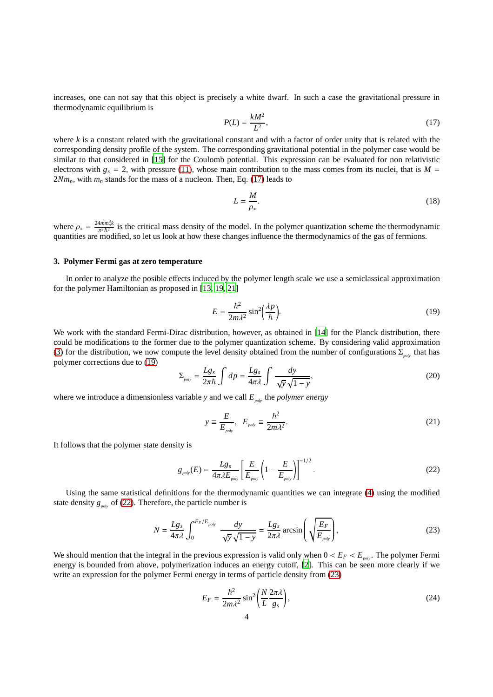increases, one can not say that this object is precisely a white dwarf. In such a case the gravitational pressure in thermodynamic equilibrium is

<span id="page-3-0"></span>
$$
P(L) = \frac{kM^2}{L^2},\tag{17}
$$

where *k* is a constant related with the gravitational constant and with a factor of order unity that is related with the corresponding density profile of the system. The corresponding gravitational potential in the polymer case would be similar to that considered in [\[15](#page-6-14)] for the Coulomb potential. This expression can be evaluated for non relativistic electrons with  $g_s = 2$ , with pressure [\(11\)](#page-2-1), whose main contribution to the mass comes from its nuclei, that is  $M =$  $2Nm_n$ , with  $m_n$  stands for the mass of a nucleon. Then, Eq. [\(17\)](#page-3-0) leads to

<span id="page-3-4"></span>
$$
L = \frac{M}{\rho_*}.\tag{18}
$$

where  $\rho_* = \frac{24 m m_n^3 k}{\pi^2 \hbar^2}$  $\frac{4mn\pi R}{\pi^2\hbar^2}$  is the critical mass density of the model. In the polymer quantization scheme the thermodynamic quantities are modified, so let us look at how these changes influence the thermodynamics of the gas of fermions.

## **3. Polymer Fermi gas at zero temperature**

In order to analyze the posible effects induced by the polymer length scale we use a semiclassical approximation for the polymer Hamiltonian as proposed in [\[13,](#page-6-12) [19,](#page-6-18) [21\]](#page-6-20)

<span id="page-3-1"></span>
$$
E = \frac{\hbar^2}{2m\lambda^2} \sin^2\!\left(\frac{\lambda p}{\hbar}\right). \tag{19}
$$

We work with the standard Fermi-Dirac distribution, however, as obtained in [\[14\]](#page-6-13) for the Planck distribution, there could be modifications to the former due to the polymer quantization scheme. By considering valid approximation [\(3\)](#page-1-2) for the distribution, we now compute the level density obtained from the number of configurations  $\Sigma_{p_0/2}$  that has polymer corrections due to [\(19\)](#page-3-1)

$$
\Sigma_{\text{poly}} = \frac{Lg_s}{2\pi\hbar} \int dp = \frac{Lg_s}{4\pi\lambda} \int \frac{dy}{\sqrt{y}\sqrt{1-y}},\tag{20}
$$

where we introduce a dimensionless variable *y* and we call  $E_{polv}$  the *polymer energy* 

$$
y \equiv \frac{E}{E_{\text{poly}}}, \quad E_{\text{poly}} \equiv \frac{\hbar^2}{2m\lambda^2}.
$$
 (21)

It follows that the polymer state density is

<span id="page-3-2"></span>
$$
g_{\text{poly}}(E) = \frac{Lg_s}{4\pi\lambda E_{\text{poly}}} \left[\frac{E}{E_{\text{poly}}}\left(1 - \frac{E}{E_{\text{poly}}}\right)\right]^{-1/2}.\tag{22}
$$

Using the same statistical definitions for the thermodynamic quantities we can integrate [\(4\)](#page-1-0) using the modified state density  $g_{polo}$  of [\(22\)](#page-3-2). Therefore, the particle number is

<span id="page-3-3"></span>
$$
N = \frac{Lg_s}{4\pi\lambda} \int_0^{E_F/E_{poly}} \frac{dy}{\sqrt{y}\sqrt{1-y}} = \frac{Lg_s}{2\pi\lambda} \arcsin\left(\sqrt{\frac{E_F}{E_{poly}}}\right),\tag{23}
$$

We should mention that the integral in the previous expression is valid only when  $0 < E_F < E_{poly}$ . The polymer Fermi energy is bounded from above, polymerization induces an energy cutoff, [\[2](#page-6-1)]. This can be seen more clearly if we write an expression for the polymer Fermi energy in terms of particle density from [\(23\)](#page-3-3)

$$
E_F = \frac{\hbar^2}{2m\lambda^2} \sin^2\left(\frac{N}{L}\frac{2\pi\lambda}{g_s}\right),\tag{24}
$$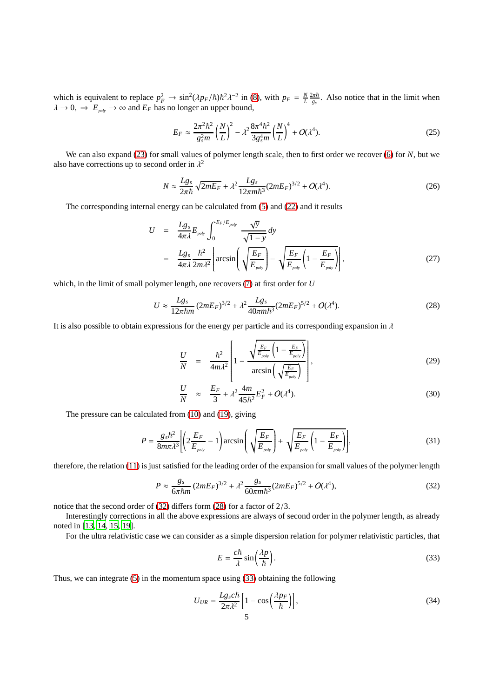which is equivalent to replace  $p_F^2 \to \sin^2(\lambda p_F/\hbar)\hbar^2\lambda^{-2}$  in [\(8\)](#page-2-2), with  $p_F = \frac{N}{L} \frac{2\pi\hbar}{g_s}$ . Also notice that in the limit when  $\lambda \to 0$ ,  $\Rightarrow E_{\text{poly}} \to \infty$  and  $E_F$  has no longer an upper bound,

<span id="page-4-4"></span>
$$
E_F \approx \frac{2\pi^2\hbar^2}{g_s^2m} \left(\frac{N}{L}\right)^2 - \lambda^2 \frac{8\pi^4\hbar^2}{3g_s^4m} \left(\frac{N}{L}\right)^4 + O(\lambda^4). \tag{25}
$$

We can also expand [\(23\)](#page-3-3) for small values of polymer length scale, then to first order we recover [\(6\)](#page-1-1) for *N*, but we also have corrections up to second order in  $\lambda^2$ 

$$
N \approx \frac{Lg_s}{2\pi\hbar} \sqrt{2mE_F} + \lambda^2 \frac{Lg_s}{12\pi m\hbar^3} (2mE_F)^{3/2} + O(\lambda^4). \tag{26}
$$

The corresponding internal energy can be calculated from [\(5\)](#page-1-0) and [\(22\)](#page-3-2) and it results

$$
U = \frac{Lg_s}{4\pi\lambda} E_{\text{poly}} \int_0^{E_F/E_{\text{poly}}} \frac{\sqrt{y}}{\sqrt{1-y}} dy
$$
  
= 
$$
\frac{Lg_s}{4\pi\lambda} \frac{\hbar^2}{2m\lambda^2} \left[ \arcsin\left(\sqrt{\frac{E_F}{E_{\text{poly}}}}\right) - \sqrt{\frac{E_F}{E_{\text{poly}}}} \left(1 - \frac{E_F}{E_{\text{poly}}}\right) \right],
$$
 (27)

which, in the limit of small polymer length, one recovers [\(7\)](#page-1-1) at first order for *U*

<span id="page-4-1"></span>
$$
U \approx \frac{Lg_s}{12\pi\hbar m} (2mE_F)^{3/2} + \lambda^2 \frac{Lg_s}{40\pi m\hbar^3} (2mE_F)^{5/2} + O(\lambda^4). \tag{28}
$$

It is also possible to obtain expressions for the energy per particle and its corresponding expansion in  $\lambda$ 

$$
\frac{U}{N} = \frac{\hbar^2}{4m\lambda^2} \left[ 1 - \frac{\sqrt{\frac{E_F}{E_{poly}}}\left(1 - \frac{E_F}{E_{poly}}\right)}{\arcsin\left(\sqrt{\frac{E_F}{E_{poly}}}\right)} \right],
$$
\n(29)

$$
\frac{U}{N} \approx \frac{E_F}{3} + \lambda^2 \frac{4m}{45\hbar^2} E_F^2 + O(\lambda^4). \tag{30}
$$

The pressure can be calculated from [\(10\)](#page-2-0) and [\(19\)](#page-3-1), giving

<span id="page-4-3"></span>
$$
P = \frac{g_s \hbar^2}{8m\pi\lambda^3} \left[ \left( 2\frac{E_F}{E_{\text{poly}}} - 1 \right) \arcsin\left( \sqrt{\frac{E_F}{E_{\text{poly}}} } \right) + \sqrt{\frac{E_F}{E_{\text{poly}}} \left( 1 - \frac{E_F}{E_{\text{poly}}} \right)} \right],\tag{31}
$$

therefore, the relation [\(11\)](#page-2-1) is just satisfied for the leading order of the expansion for small values of the polymer length

<span id="page-4-0"></span>
$$
P \approx \frac{g_s}{6\pi\hbar m} (2mE_F)^{3/2} + \lambda^2 \frac{g_s}{60\pi m\hbar^3} (2mE_F)^{5/2} + O(\lambda^4),\tag{32}
$$

notice that the second order of [\(32\)](#page-4-0) differs form [\(28\)](#page-4-1) for a factor of 2/3.

Interestingly corrections in all the above expressions are always of second order in the polymer length, as already noted in [\[13,](#page-6-12) [14,](#page-6-13) [15,](#page-6-14) [19\]](#page-6-18).

For the ultra relativistic case we can consider as a simple dispersion relation for polymer relativistic particles, that

<span id="page-4-2"></span>
$$
E = \frac{c\hbar}{\lambda} \sin\left(\frac{\lambda p}{\hbar}\right). \tag{33}
$$

Thus, we can integrate [\(5\)](#page-1-0) in the momentum space using [\(33\)](#page-4-2) obtaining the following

$$
U_{UR} = \frac{Lg_s c\hbar}{2\pi\lambda^2} \left[ 1 - \cos\left(\frac{\lambda p_F}{\hbar}\right) \right],\tag{34}
$$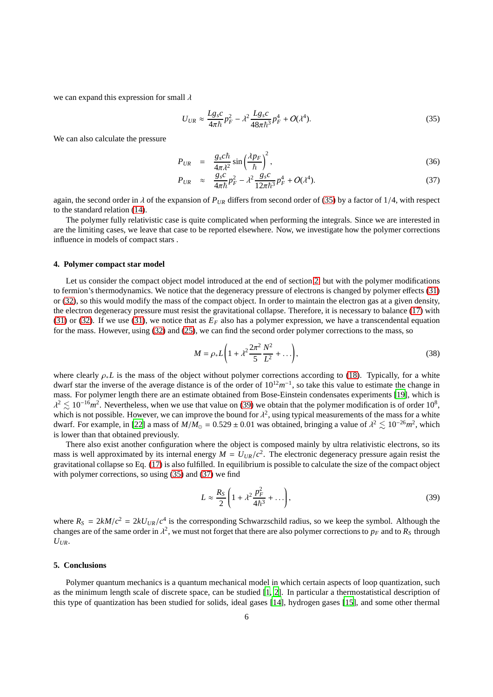we can expand this expression for small  $\lambda$ 

<span id="page-5-0"></span>
$$
U_{UR} \approx \frac{Lg_s c}{4\pi\hbar} p_F^2 - \lambda^2 \frac{Lg_s c}{48\pi\hbar^3} p_F^4 + O(\lambda^4). \tag{35}
$$

We can also calculate the pressure

<span id="page-5-2"></span>
$$
P_{UR} = \frac{g_s c \hbar}{4\pi\lambda^2} \sin\left(\frac{\lambda p_F}{\hbar}\right)^2, \tag{36}
$$

$$
P_{UR} \approx \frac{g_s c}{4\pi\hbar} p_F^2 - \lambda^2 \frac{g_s c}{12\pi\hbar^3} p_F^4 + O(\lambda^4). \tag{37}
$$

again, the second order in  $\lambda$  of the expansion of  $P_{UR}$  differs from second order of [\(35\)](#page-5-0) by a factor of 1/4, with respect to the standard relation [\(14\)](#page-2-3).

The polymer fully relativistic case is quite complicated when performing the integrals. Since we are interested in are the limiting cases, we leave that case to be reported elsewhere. Now, we investigate how the polymer corrections influence in models of compact stars .

#### **4. Polymer compact star model**

Let us consider the compact object model introduced at the end of section [2,](#page-1-3) but with the polymer modifications to fermion's thermodynamics. We notice that the degeneracy pressure of electrons is changed by polymer effects [\(31\)](#page-4-3) or [\(32\)](#page-4-0), so this would modify the mass of the compact object. In order to maintain the electron gas at a given density, the electron degeneracy pressure must resist the gravitational collapse. Therefore, it is necessary to balance [\(17\)](#page-3-0) with [\(31\)](#page-4-3) or [\(32\)](#page-4-0). If we use [\(31\)](#page-4-3), we notice that as  $E_F$  also has a polymer expression, we have a transcendental equation for the mass. However, using [\(32\)](#page-4-0) and [\(25\)](#page-4-4), we can find the second order polymer corrections to the mass, so

$$
M = \rho_* L \left( 1 + \lambda^2 \frac{2\pi^2}{5} \frac{N^2}{L^2} + \ldots \right),
$$
\n(38)

where clearly ρ∗*L* is the mass of the object without polymer corrections according to [\(18\)](#page-3-4). Typically, for a white dwarf star the inverse of the average distance is of the order of  $10^{12}m^{-1}$ , so take this value to estimate the change in mass. For polymer length there are an estimate obtained from Bose-Einstein condensates experiments [\[19\]](#page-6-18), which is  $\lambda^2 \lesssim 10^{-16} m^2$ . Nevertheless, when we use that value on [\(39\)](#page-5-1) we obtain that the polymer modification is of order 10<sup>8</sup>, which is not possible. However, we can improve the bound for  $\lambda^2$ , using typical measurements of the mass for a white dwarf. For example, in [\[22\]](#page-6-21) a mass of  $M/M_{\odot} = 0.529 \pm 0.01$  was obtained, bringing a value of  $\lambda^2 \lesssim 10^{-26} m^2$ , which is lower than that obtained previously.

There also exist another configuration where the object is composed mainly by ultra relativistic electrons, so its mass is well approximated by its internal energy  $M = U_{UR}/c^2$ . The electronic degeneracy pressure again resist the gravitational collapse so Eq. [\(17\)](#page-3-0) is also fulfilled. In equilibrium is possible to calculate the size of the compact object with polymer corrections, so using [\(35\)](#page-5-0) and [\(37\)](#page-5-2) we find

<span id="page-5-1"></span>
$$
L \approx \frac{R_S}{2} \left( 1 + \lambda^2 \frac{p_F^2}{4\hbar^3} + \ldots \right),\tag{39}
$$

where  $R_S = 2kM/c^2 = 2kU_{UR}/c^4$  is the corresponding Schwarzschild radius, so we keep the symbol. Although the changes are of the same order in  $\lambda^2$ , we must not forget that there are also polymer corrections to  $p_F$  and to  $R_S$  through  $U_{IIR}$ .

# **5. Conclusions**

Polymer quantum mechanics is a quantum mechanical model in which certain aspects of loop quantization, such as the minimum length scale of discrete space, can be studied [\[1,](#page-6-0) [2](#page-6-1)]. In particular a thermostatistical description of this type of quantization has been studied for solids, ideal gases [\[14](#page-6-13)], hydrogen gases [\[15\]](#page-6-14), and some other thermal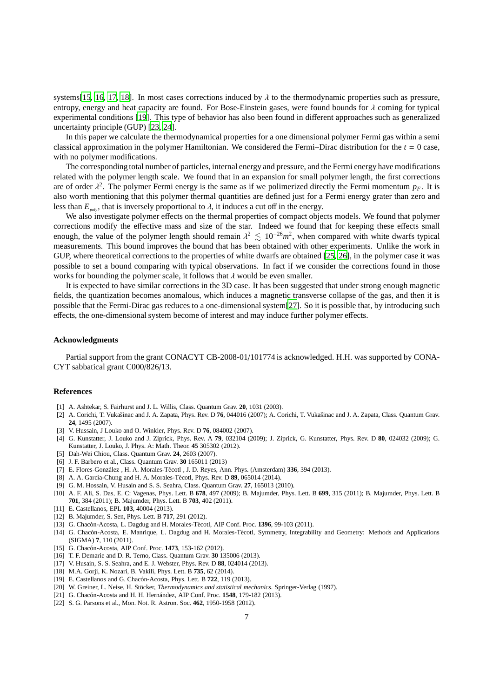systems[\[15,](#page-6-14) [16,](#page-6-15) [17,](#page-6-16) [18\]](#page-6-17). In most cases corrections induced by  $\lambda$  to the thermodynamic properties such as pressure, entropy, energy and heat capacity are found. For Bose-Einstein gases, were found bounds for  $\lambda$  coming for typical experimental conditions [\[19\]](#page-6-18). This type of behavior has also been found in different approaches such as generalized uncertainty principle (GUP) [\[23](#page-7-0), [24\]](#page-7-1).

In this paper we calculate the thermodynamical properties for a one dimensional polymer Fermi gas within a semi classical approximation in the polymer Hamiltonian. We considered the Fermi–Dirac distribution for the  $t = 0$  case, with no polymer modifications.

The corresponding total number of particles, internal energy and pressure, and the Fermi energy have modifications related with the polymer length scale. We found that in an expansion for small polymer length, the first corrections are of order  $\lambda^2$ . The polymer Fermi energy is the same as if we polimerized directly the Fermi momentum  $p_F$ . It is also worth mentioning that this polymer thermal quantities are defined just for a Fermi energy grater than zero and less than  $E_{p_0}$ , that is inversely proportional to  $\lambda$ , it induces a cut off in the energy.

We also investigate polymer effects on the thermal properties of compact objects models. We found that polymer corrections modify the effective mass and size of the star. Indeed we found that for keeping these effects small enough, the value of the polymer length should remain  $\lambda^2 \leq 10^{-26}m^2$ , when compared with white dwarfs typical measurements. This bound improves the bound that has been obtained with other experiments. Unlike the work in GUP, where theoretical corrections to the properties of white dwarfs are obtained [\[25,](#page-7-2) [26\]](#page-7-3), in the polymer case it was possible to set a bound comparing with typical observations. In fact if we consider the corrections found in those works for bounding the polymer scale, it follows that  $\lambda$  would be even smaller.

It is expected to have similar corrections in the 3D case. It has been suggested that under strong enough magnetic fields, the quantization becomes anomalous, which induces a magnetic transverse collapse of the gas, and then it is possible that the Fermi-Dirac gas reduces to a one-dimensional system[\[27](#page-7-4)]. So it is possible that, by introducing such effects, the one-dimensional system become of interest and may induce further polymer effects.

# **Acknowledgments**

Partial support from the grant CONACYT CB-2008-01/101774 is acknowledged. H.H. was supported by CONA-CYT sabbatical grant C000/826/13.

#### **References**

- <span id="page-6-0"></span>[1] A. Ashtekar, S. Fairhurst and J. L. Willis, Class. Quantum Grav. **20**, 1031 (2003).
- <span id="page-6-1"></span>[2] A. Corichi, T. Vukašinac and J. A. Zapata, Phys. Rev. D 76, 044016 (2007); A. Corichi, T. Vukašinac and J. A. Zapata, Class. Quantum Grav. **24**, 1495 (2007).
- <span id="page-6-2"></span>[3] V. Hussain, J Louko and O. Winkler, Phys. Rev. D **76**, 084002 (2007).
- <span id="page-6-3"></span>[4] G. Kunstatter, J. Louko and J. Ziprick, Phys. Rev. A **79**, 032104 (2009); J. Ziprick, G. Kunstatter, Phys. Rev. D **80**, 024032 (2009); G. Kunstatter, J. Louko, J. Phys. A: Math. Theor. **45** 305302 (2012).
- <span id="page-6-4"></span>[5] Dah-Wei Chiou, Class. Quantum Grav. **24**, 2603 (2007).
- <span id="page-6-5"></span>[6] J. F. Barbero et al., Class. Quantum Grav. **30** 165011 (2013)
- <span id="page-6-6"></span>[7] E. Flores-González , H. A. Morales-Técotl , J. D. Reyes, Ann. Phys. (Amsterdam) **336**, 394 (2013).
- <span id="page-6-7"></span>[8] A. A. García-Chung and H. A. Morales-Técotl, Phys. Rev. D 89, 065014 (2014).
- <span id="page-6-8"></span>[9] G. M. Hossain, V. Husain and S. S. Seahra, Class. Quantum Grav. **27**, 165013 (2010).
- <span id="page-6-9"></span>[10] A. F. Ali, S. Das, E. C: Vagenas, Phys. Lett. B **678**, 497 (2009); B. Majumder, Phys. Lett. B **699**, 315 (2011); B. Majumder, Phys. Lett. B **701**, 384 (2011); B. Majumder, Phys. Lett. B **703**, 402 (2011).
- <span id="page-6-10"></span>[11] E. Castellanos, EPL **103**, 40004 (2013).
- <span id="page-6-11"></span>[12] B. Majumder, S. Sen, Phys. Lett. B **717**, 291 (2012).
- <span id="page-6-12"></span>[13] G. Chacón-Acosta, L. Dagdug and H. Morales-Técotl, AIP Conf. Proc. 1396, 99-103 (2011).
- <span id="page-6-13"></span>[14] G. Chacón-Acosta, E. Manrique, L. Dagdug and H. Morales-Técotl, Symmetry, Integrability and Geometry: Methods and Applications (SIGMA) **7**, 110 (2011).
- <span id="page-6-14"></span>[15] G. Chacón-Acosta, AIP Conf. Proc. **1473**, 153-162 (2012).
- <span id="page-6-15"></span>[16] T. F. Demarie and D. R. Terno, Class. Quantum Grav. **30** 135006 (2013).
- <span id="page-6-16"></span>[17] V. Husain, S. S. Seahra, and E. J. Webster, Phys. Rev. D **88**, 024014 (2013).
- <span id="page-6-17"></span>[18] M.A. Gorji, K. Nozari, B. Vakili, Phys. Lett. B **735**, 62 (2014).
- <span id="page-6-18"></span>[19] E. Castellanos and G. Chacón-Acosta, Phys. Lett. B **722**, 119 (2013).
- <span id="page-6-19"></span>[20] W. Greiner, L. Neise, H. Stöcker, *Thermodynamics and statistical mechanics*. Springer-Verlag (1997).
- <span id="page-6-20"></span>[21] G. Chacón-Acosta and H. H. Hernández, AIP Conf. Proc. **1548**, 179-182 (2013).
- <span id="page-6-21"></span>[22] S. G. Parsons et al., Mon. Not. R. Astron. Soc. **462**, 1950-1958 (2012).